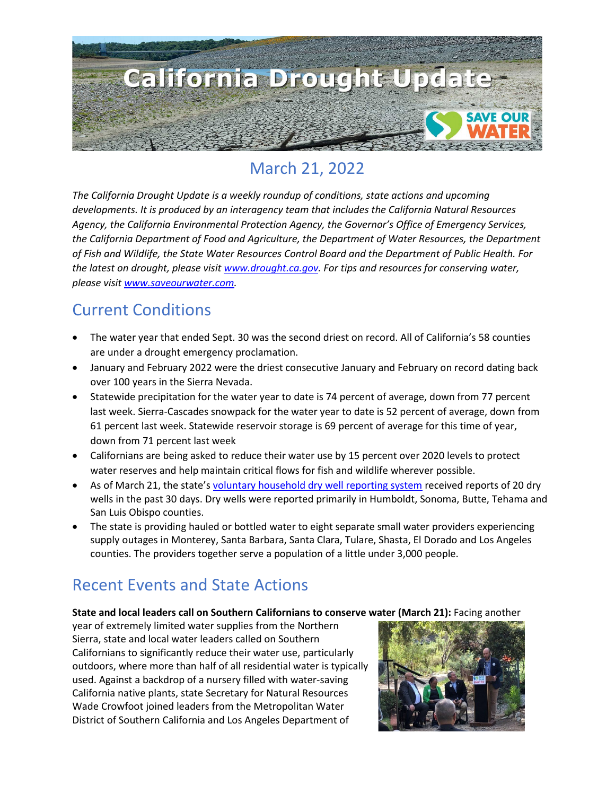

## March 21, 2022

*The California Drought Update is a weekly roundup of conditions, state actions and upcoming developments. It is produced by an interagency team that includes the California Natural Resources Agency, the California Environmental Protection Agency, the Governor's Office of Emergency Services, the California Department of Food and Agriculture, the Department of Water Resources, the Department of Fish and Wildlife, the State Water Resources Control Board and the Department of Public Health. For the latest on drought, please visit [www.drought.ca.gov.](http://www.drought.ca.gov/) For tips and resources for conserving water, please visit [www.saveourwater.com.](http://www.saveourwater.com/)* 

### Current Conditions

- The water year that ended Sept. 30 was the second driest on record. All of California's 58 counties are under a drought emergency proclamation.
- January and February 2022 were the driest consecutive January and February on record dating back over 100 years in the Sierra Nevada.
- Statewide precipitation for the water year to date is 74 percent of average, down from 77 percent last week. Sierra-Cascades snowpack for the water year to date is 52 percent of average, down from 61 percent last week. Statewide reservoir storage is 69 percent of average for this time of year, down from 71 percent last week
- Californians are being asked to reduce their water use by 15 percent over 2020 levels to protect water reserves and help maintain critical flows for fish and wildlife wherever possible.
- As of March 21, the state's [voluntary household dry well reporting system](https://mydrywell.water.ca.gov/report/) received reports of 20 dry wells in the past 30 days. Dry wells were reported primarily in Humboldt, Sonoma, Butte, Tehama and San Luis Obispo counties.
- The state is providing hauled or bottled water to eight separate small water providers experiencing supply outages in Monterey, Santa Barbara, Santa Clara, Tulare, Shasta, El Dorado and Los Angeles counties. The providers together serve a population of a little under 3,000 people.

### Recent Events and State Actions

**State and local leaders call on Southern Californians to conserve water (March 21):** Facing another

year of extremely limited water supplies from the Northern Sierra, state and local water leaders called on Southern Californians to significantly reduce their water use, particularly outdoors, where more than half of all residential water is typically used. Against a backdrop of a nursery filled with water-saving California native plants, state Secretary for Natural Resources Wade Crowfoot joined leaders from the Metropolitan Water District of Southern California and Los Angeles Department of

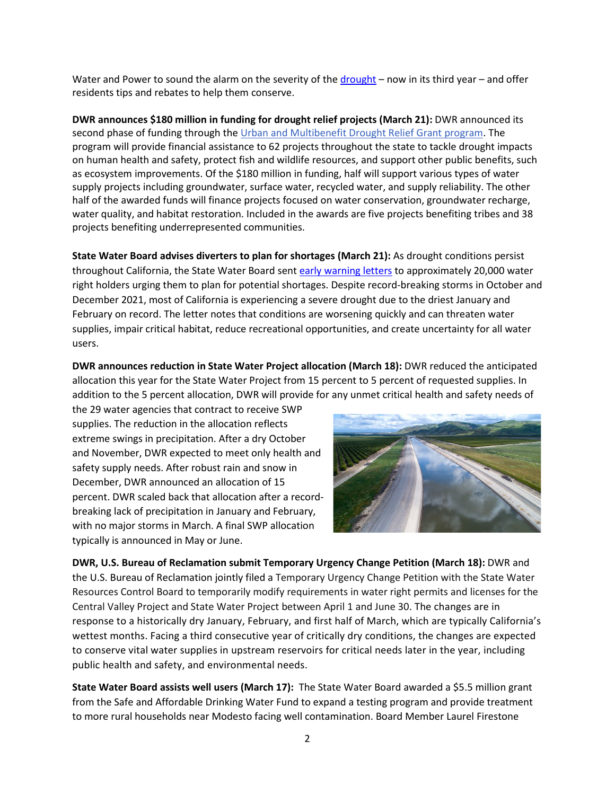Water and Power to sound the alarm on the severity of the [drought](https://www.mwdh2o.com/planning-for-tomorrow/how-we-plan/drought/) – now in its third year – and offer residents tips and rebates to help them conserve.

**DWR announces \$180 million in funding for drought relief projects (March 21):** DWR announced its second phase of funding through th[e Urban and Multibenefit Drought Relief Grant program.](https://lnks.gd/l/eyJhbGciOiJIUzI1NiJ9.eyJidWxsZXRpbl9saW5rX2lkIjoxMDEsInVyaSI6ImJwMjpjbGljayIsImJ1bGxldGluX2lkIjoiMjAyMjAzMjEuNTUyNDM4NTEiLCJ1cmwiOiJodHRwczovL3dhdGVyLmNhLmdvdi9XYXRlci1CYXNpY3MvRHJvdWdodC9VcmJhbi1NdWx0aS1CZW5lZml0LURyb3VnaHQ_dXRtX21lZGl1bT1lbWFpbCZ1dG1fc291cmNlPWdvdmRlbGl2ZXJ5In0.bLdx8jIh-QymZ6e3ur99YUwp7D7k3T6qLwZOZ5TAoZ8/s/1821935473/br/128453406220-l) The program will provide financial assistance to 62 projects throughout the state to tackle drought impacts on human health and safety, protect fish and wildlife resources, and support other public benefits, such as ecosystem improvements. Of the \$180 million in funding, half will support various types of water supply projects including groundwater, surface water, recycled water, and supply reliability. The other half of the awarded funds will finance projects focused on water conservation, groundwater recharge, water quality, and habitat restoration. Included in the awards are five projects benefiting tribes and 38 projects benefiting underrepresented communities.

**State Water Board advises diverters to plan for shortages (March 21):** As drought conditions persist throughout California, the State Water Board sent [early warning letters](https://www.waterboards.ca.gov/drought/docs/2022/dyl_2022_web.pdf) to approximately 20,000 water right holders urging them to plan for potential shortages. Despite record-breaking storms in October and December 2021, most of California is experiencing a severe drought due to the driest January and February on record. The letter notes that conditions are worsening quickly and can threaten water supplies, impair critical habitat, reduce recreational opportunities, and create uncertainty for all water users.

**DWR announces reduction in State Water Project allocation (March 18):** DWR reduced the anticipated allocation this year for the State Water Project from 15 percent to 5 percent of requested supplies. In addition to the 5 percent allocation, DWR will provide for any unmet critical health and safety needs of

the 29 water agencies that contract to receive SWP supplies. The reduction in the allocation reflects extreme swings in precipitation. After a dry October and November, DWR expected to meet only health and safety supply needs. After robust rain and snow in December, DWR announced an allocation of 15 percent. DWR scaled back that allocation after a recordbreaking lack of precipitation in January and February, with no major storms in March. A final SWP allocation typically is announced in May or June.



**DWR, U.S. Bureau of Reclamation submit Temporary Urgency Change Petition (March 18):** DWR and the U.S. Bureau of Reclamation jointly filed a Temporary Urgency Change Petition with the State Water Resources Control Board to temporarily modify requirements in water right permits and licenses for the Central Valley Project and State Water Project between April 1 and June 30. The changes are in response to a historically dry January, February, and first half of March, which are typically California's wettest months. Facing a third consecutive year of critically dry conditions, the changes are expected to conserve vital water supplies in upstream reservoirs for critical needs later in the year, including public health and safety, and environmental needs.

**State Water Board assists well users (March 17):** The State Water Board awarded a \$5.5 million grant from the Safe and Affordable Drinking Water Fund to expand a testing program and provide treatment to more rural households near Modesto facing well contamination. Board Member Laurel Firestone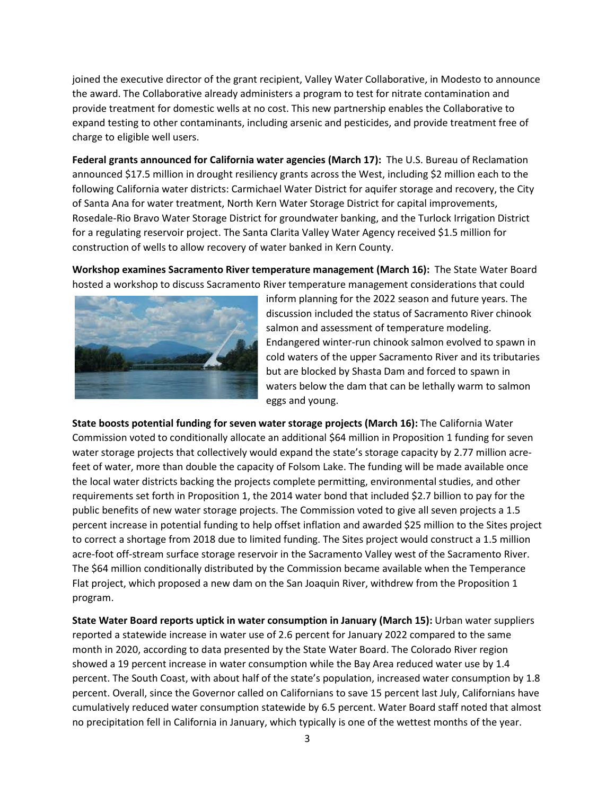joined the executive director of the grant recipient, Valley Water Collaborative, in Modesto to announce the award. The Collaborative already administers a program to test for nitrate contamination and provide treatment for domestic wells at no cost. This new partnership enables the Collaborative to expand testing to other contaminants, including arsenic and pesticides, and provide treatment free of charge to eligible well users.

**Federal grants announced for California water agencies (March 17):** The U.S. Bureau of Reclamation announced \$17.5 million in drought resiliency grants across the West, including \$2 million each to the following California water districts: Carmichael Water District for aquifer storage and recovery, the City of Santa Ana for water treatment, North Kern Water Storage District for capital improvements, Rosedale-Rio Bravo Water Storage District for groundwater banking, and the Turlock Irrigation District for a regulating reservoir project. The Santa Clarita Valley Water Agency received \$1.5 million for construction of wells to allow recovery of water banked in Kern County.

**Workshop examines Sacramento River temperature management (March 16):** The State Water Board hosted a workshop to discuss Sacramento River temperature management considerations that could



inform planning for the 2022 season and future years. The discussion included the status of Sacramento River chinook salmon and assessment of temperature modeling. Endangered winter-run chinook salmon evolved to spawn in cold waters of the upper Sacramento River and its tributaries but are blocked by Shasta Dam and forced to spawn in waters below the dam that can be lethally warm to salmon eggs and young.

**State boosts potential funding for seven water storage projects (March 16):** The California Water Commission voted to conditionally allocate an additional \$64 million in Proposition 1 funding for seven water storage projects that collectively would expand the state's storage capacity by 2.77 million acrefeet of water, more than double the capacity of Folsom Lake. The funding will be made available once the local water districts backing the projects complete permitting, environmental studies, and other requirements set forth in Proposition 1, the 2014 water bond that included \$2.7 billion to pay for the public benefits of new water storage projects. The Commission voted to give all seven projects a 1.5 percent increase in potential funding to help offset inflation and awarded \$25 million to the Sites project to correct a shortage from 2018 due to limited funding. The Sites project would construct a 1.5 million acre-foot off-stream surface storage reservoir in the Sacramento Valley west of the Sacramento River. The \$64 million conditionally distributed by the Commission became available when the Temperance Flat project, which proposed a new dam on the San Joaquin River, withdrew from the Proposition 1 program.

**State Water Board reports uptick in water consumption in January (March 15):** Urban water suppliers reported a statewide increase in water use of 2.6 percent for January 2022 compared to the same month in 2020, according to data presented by the State Water Board. The Colorado River region showed a 19 percent increase in water consumption while the Bay Area reduced water use by 1.4 percent. The South Coast, with about half of the state's population, increased water consumption by 1.8 percent. Overall, since the Governor called on Californians to save 15 percent last July, Californians have cumulatively reduced water consumption statewide by 6.5 percent. Water Board staff noted that almost no precipitation fell in California in January, which typically is one of the wettest months of the year.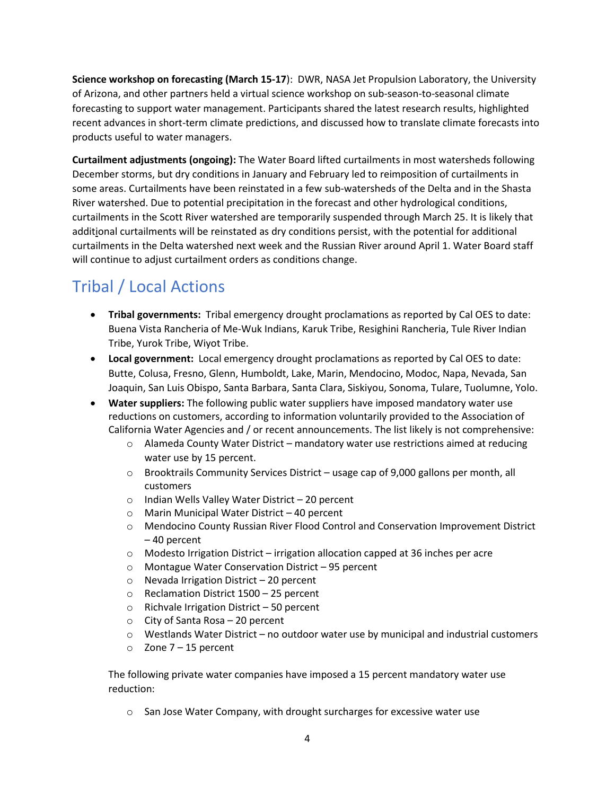**Science workshop on forecasting (March 15-17**): DWR, NASA Jet Propulsion Laboratory, the University of Arizona, and other partners held a virtual science workshop on sub-season-to-seasonal climate forecasting to support water management. Participants shared the latest research results, highlighted recent advances in short-term climate predictions, and discussed how to translate climate forecasts into products useful to water managers.

**Curtailment adjustments (ongoing):** The Water Board lifted curtailments in most watersheds following December storms, but dry conditions in January and February led to reimposition of curtailments in some areas. Curtailments have been reinstated in a few [sub-watersheds](https://www.waterboards.ca.gov/drought/mill_deer_creeks/) of the Delta and in the [Shasta](https://www.waterboards.ca.gov/drought/scott_shasta_rivers/) River [watershed.](https://www.waterboards.ca.gov/drought/scott_shasta_rivers/) Due to potential precipitation in the forecast and other hydrological conditions, curtailments in the Scott River [watershed](https://www.waterboards.ca.gov/drought/scott_shasta_rivers/) are temporarily suspended through March 25. It is likely that additional curtailments will be reinstated as dry conditions persist, with the potential for additional curtailments in the Delta [watershed](https://www.waterboards.ca.gov/drought/delta/) next week and the [Russian](https://www.waterboards.ca.gov/drought/russian_river/) River around April 1. Water Board staff will continue to adjust curtailment orders as conditions change.

# Tribal / Local Actions

- **Tribal governments:** Tribal emergency drought proclamations as reported by Cal OES to date: Buena Vista Rancheria of Me-Wuk Indians, Karuk Tribe, Resighini Rancheria, Tule River Indian Tribe, Yurok Tribe, Wiyot Tribe.
- **Local government:** Local emergency drought proclamations as reported by Cal OES to date: Butte, Colusa, Fresno, Glenn, Humboldt, Lake, Marin, Mendocino, Modoc, Napa, Nevada, San Joaquin, San Luis Obispo, Santa Barbara, Santa Clara, Siskiyou, Sonoma, Tulare, Tuolumne, Yolo.
- **Water suppliers:** The following public water suppliers have imposed mandatory water use reductions on customers, according to information voluntarily provided to the Association of California Water Agencies and / or recent announcements. The list likely is not comprehensive:
	- o Alameda County Water District mandatory water use restrictions aimed at reducing water use by 15 percent.
	- $\circ$  Brooktrails Community Services District usage cap of 9,000 gallons per month, all customers
	- o Indian Wells Valley Water District 20 percent
	- o Marin Municipal Water District 40 percent
	- o Mendocino County Russian River Flood Control and Conservation Improvement District – 40 percent
	- $\circ$  Modesto Irrigation District irrigation allocation capped at 36 inches per acre
	- o Montague Water Conservation District 95 percent
	- o Nevada Irrigation District 20 percent
	- o Reclamation District 1500 25 percent
	- o Richvale Irrigation District 50 percent
	- o City of Santa Rosa 20 percent
	- $\circ$  Westlands Water District no outdoor water use by municipal and industrial customers
	- $\circ$  Zone 7 15 percent

The following private water companies have imposed a 15 percent mandatory water use reduction:

o San Jose Water Company, with drought surcharges for excessive water use